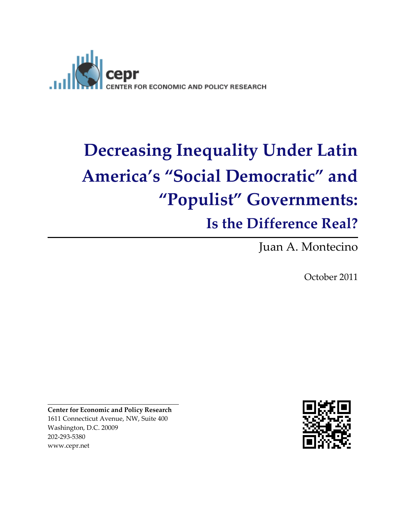

# **Decreasing Inequality Under Latin America's "Social Democratic" and "Populist" Governments: Is the Difference Real?**

Juan A. Montecino

October 2011

**Center for Economic and Policy Research** 1611 Connecticut Avenue, NW, Suite 400 Washington, D.C. 20009 202-293-5380 www.cepr.net

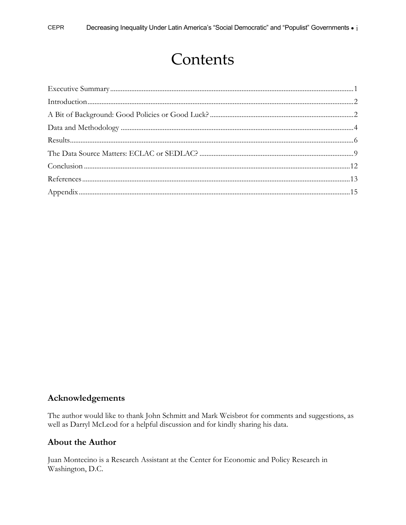# Contents

#### Acknowledgements

The author would like to thank John Schmitt and Mark Weisbrot for comments and suggestions, as well as Darryl McLeod for a helpful discussion and for kindly sharing his data.

#### **About the Author**

Juan Montecino is a Research Assistant at the Center for Economic and Policy Research in Washington, D.C.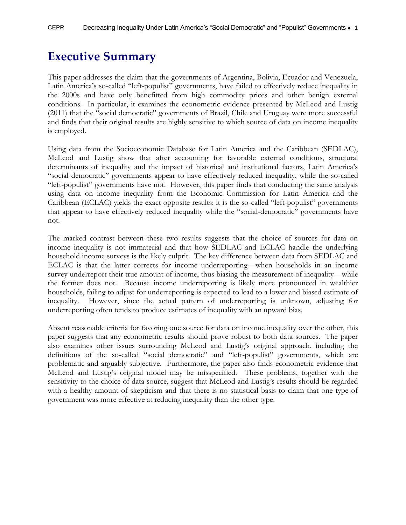### <span id="page-2-0"></span>**Executive Summary**

This paper addresses the claim that the governments of Argentina, Bolivia, Ecuador and Venezuela, Latin America's so-called "left-populist" governments, have failed to effectively reduce inequality in the 2000s and have only benefitted from high commodity prices and other benign external conditions. In particular, it examines the econometric evidence presented by McLeod and Lustig (2011) that the "social democratic" governments of Brazil, Chile and Uruguay were more successful and finds that their original results are highly sensitive to which source of data on income inequality is employed.

Using data from the Socioeconomic Database for Latin America and the Caribbean (SEDLAC), McLeod and Lustig show that after accounting for favorable external conditions, structural determinants of inequality and the impact of historical and institutional factors, Latin America's "social democratic" governments appear to have effectively reduced inequality, while the so-called "left-populist" governments have not. However, this paper finds that conducting the same analysis using data on income inequality from the Economic Commission for Latin America and the Caribbean (ECLAC) yields the exact opposite results: it is the so-called "left-populist" governments that appear to have effectively reduced inequality while the "social-democratic" governments have not.

The marked contrast between these two results suggests that the choice of sources for data on income inequality is not immaterial and that how SEDLAC and ECLAC handle the underlying household income surveys is the likely culprit. The key difference between data from SEDLAC and ECLAC is that the latter corrects for income underreporting—when households in an income survey underreport their true amount of income, thus biasing the measurement of inequality—while the former does not. Because income underreporting is likely more pronounced in wealthier households, failing to adjust for underreporting is expected to lead to a lower and biased estimate of inequality. However, since the actual pattern of underreporting is unknown, adjusting for underreporting often tends to produce estimates of inequality with an upward bias.

<span id="page-2-1"></span>Absent reasonable criteria for favoring one source for data on income inequality over the other, this paper suggests that any econometric results should prove robust to both data sources. The paper also examines other issues surrounding McLeod and Lustig's original approach, including the definitions of the so-called "social democratic" and "left-populist" governments, which are problematic and arguably subjective. Furthermore, the paper also finds econometric evidence that McLeod and Lustig's original model may be misspecified. These problems, together with the sensitivity to the choice of data source, suggest that McLeod and Lustig's results should be regarded with a healthy amount of skepticism and that there is no statistical basis to claim that one type of government was more effective at reducing inequality than the other type.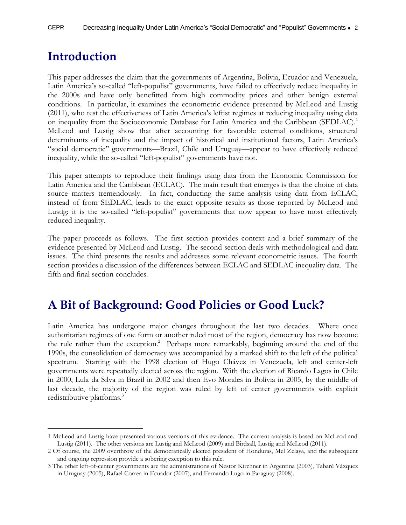### **Introduction**

 $\overline{a}$ 

This paper addresses the claim that the governments of Argentina, Bolivia, Ecuador and Venezuela, Latin America's so-called "left-populist" governments, have failed to effectively reduce inequality in the 2000s and have only benefitted from high commodity prices and other benign external conditions. In particular, it examines the econometric evidence presented by McLeod and Lustig (2011), who test the effectiveness of Latin America's leftist regimes at reducing inequality using data on inequality from the Socioeconomic Database for Latin America and the Caribbean (SEDLAC).<sup>1</sup> McLeod and Lustig show that after accounting for favorable external conditions, structural determinants of inequality and the impact of historical and institutional factors, Latin America's "social democratic" governments—Brazil, Chile and Uruguay—appear to have effectively reduced inequality, while the so-called "left-populist" governments have not.

This paper attempts to reproduce their findings using data from the Economic Commission for Latin America and the Caribbean (ECLAC). The main result that emerges is that the choice of data source matters tremendously. In fact, conducting the same analysis using data from ECLAC, instead of from SEDLAC, leads to the exact opposite results as those reported by McLeod and Lustig: it is the so-called "left-populist" governments that now appear to have most effectively reduced inequality.

The paper proceeds as follows. The first section provides context and a brief summary of the evidence presented by McLeod and Lustig. The second section deals with methodological and data issues. The third presents the results and addresses some relevant econometric issues. The fourth section provides a discussion of the differences between ECLAC and SEDLAC inequality data. The fifth and final section concludes.

### <span id="page-3-0"></span>**A Bit of Background: Good Policies or Good Luck?**

Latin America has undergone major changes throughout the last two decades. Where once authoritarian regimes of one form or another ruled most of the region, democracy has now become the rule rather than the exception. 2 Perhaps more remarkably, beginning around the end of the 1990s, the consolidation of democracy was accompanied by a marked shift to the left of the political spectrum. Starting with the 1998 election of Hugo Chávez in Venezuela, left and center-left governments were repeatedly elected across the region. With the election of Ricardo Lagos in Chile in 2000, Lula da Silva in Brazil in 2002 and then Evo Morales in Bolivia in 2005, by the middle of last decade, the majority of the region was ruled by left of center governments with explicit redistributive platforms.<sup>3</sup>

<sup>1</sup> McLeod and Lustig have presented various versions of this evidence. The current analysis is based on McLeod and Lustig (2011). The other versions are Lustig and McLeod (2009) and Birdsall, Lustig and McLeod (2011).

<sup>2</sup> Of course, the 2009 overthrow of the democratically elected president of Honduras, Mel Zelaya, and the subsequent and ongoing repression provide a sobering exception to this rule.

<sup>3</sup> The other left-of-center governments are the administrations of Nestor Kirchner in Argentina (2003), Tabaré Vázquez in Uruguay (2005), Rafael Correa in Ecuador (2007), and Fernando Lugo in Paraguay (2008).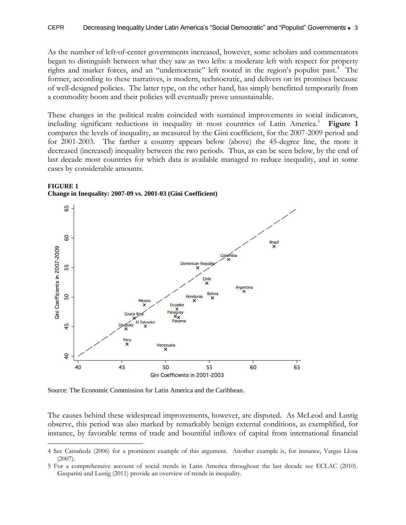As the number of left-of-center governments increased, however, some scholars and commentators began to distinguish between what they saw as two lefts: a moderate left with respect for property rights and market forces, and an "undemocratic" left rooted in the region's populist past.<sup>4</sup> The former, according to these narratives, is modern, technocratic, and delivers on its promises because of well-designed policies. The latter type, on the other hand, has simply benefitted temporarily from a commodity boom and their policies will eventually prove unsustainable.

These changes in the political realm coincided with sustained improvements in social indicators, including significant reductions in inequality in most countries of Latin America.<sup>5</sup> Figure 1 compares the levels of inequality, as measured by the Gini coefficient, for the 2007-2009 period and for 2001-2003. The farther a country appears below (above) the 45-degree line, the more it decreased (increased) inequality between the two periods. Thus, as can be seen below, by the end of last decade most countries for which data is available managed to reduce inequality, and in some cases by considerable amounts.



#### **FIGURE 1 Change in Inequality: 2007-09 vs. 2001-03 (Gini Coefficient)**

Source: The Economic Commission for Latin America and the Caribbean.

 $\overline{a}$ 

The causes behind these widespread improvements, however, are disputed. As McLeod and Lustig observe, this period was also marked by remarkably benign external conditions, as exemplified, for instance, by favorable terms of trade and bountiful inflows of capital from international financial

<sup>4</sup> See Castañeda (2006) for a prominent example of this argument. Another example is, for instance, Vargas Llosa (2007).

<sup>5</sup> For a comprehensive account of social trends in Latin America throughout the last decade see ECLAC (2010). Gasparini and Lustig (2011) provide an overview of trends in inequality.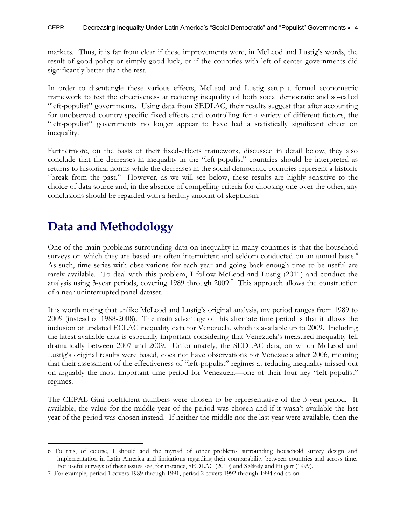markets. Thus, it is far from clear if these improvements were, in McLeod and Lustig's words, the result of good policy or simply good luck, or if the countries with left of center governments did significantly better than the rest.

In order to disentangle these various effects, McLeod and Lustig setup a formal econometric framework to test the effectiveness at reducing inequality of both social democratic and so-called "left-populist" governments. Using data from SEDLAC, their results suggest that after accounting for unobserved country-specific fixed-effects and controlling for a variety of different factors, the "left-populist" governments no longer appear to have had a statistically significant effect on inequality.

Furthermore, on the basis of their fixed-effects framework, discussed in detail below, they also conclude that the decreases in inequality in the "left-populist" countries should be interpreted as returns to historical norms while the decreases in the social democratic countries represent a historic "break from the past." However, as we will see below, these results are highly sensitive to the choice of data source and, in the absence of compelling criteria for choosing one over the other, any conclusions should be regarded with a healthy amount of skepticism.

### <span id="page-5-0"></span>**Data and Methodology**

 $\overline{a}$ 

One of the main problems surrounding data on inequality in many countries is that the household surveys on which they are based are often intermittent and seldom conducted on an annual basis.<sup>6</sup> As such, time series with observations for each year and going back enough time to be useful are rarely available. To deal with this problem, I follow McLeod and Lustig (2011) and conduct the analysis using 3-year periods, covering 1989 through 2009.<sup>7</sup> This approach allows the construction of a near uninterrupted panel dataset.

It is worth noting that unlike McLeod and Lustig's original analysis, my period ranges from 1989 to 2009 (instead of 1988-2008). The main advantage of this alternate time period is that it allows the inclusion of updated ECLAC inequality data for Venezuela, which is available up to 2009. Including the latest available data is especially important considering that Venezuela's measured inequality fell dramatically between 2007 and 2009. Unfortunately, the SEDLAC data, on which McLeod and Lustig's original results were based, does not have observations for Venezuela after 2006, meaning that their assessment of the effectiveness of "left-populist" regimes at reducing inequality missed out on arguably the most important time period for Venezuela—one of their four key "left-populist" regimes.

The CEPAL Gini coefficient numbers were chosen to be representative of the 3-year period. If available, the value for the middle year of the period was chosen and if it wasn't available the last year of the period was chosen instead. If neither the middle nor the last year were available, then the

<sup>6</sup> To this, of course, I should add the myriad of other problems surrounding household survey design and implementation in Latin America and limitations regarding their comparability between countries and across time. For useful surveys of these issues see, for instance, SEDLAC (2010) and Székely and Hilgert (1999).

<sup>7</sup> For example, period 1 covers 1989 through 1991, period 2 covers 1992 through 1994 and so on.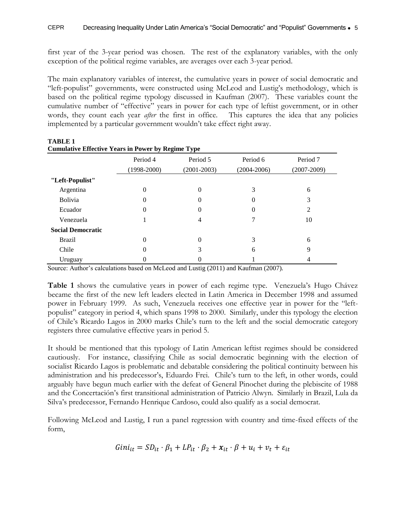first year of the 3-year period was chosen. The rest of the explanatory variables, with the only exception of the political regime variables, are averages over each 3-year period.

The main explanatory variables of interest, the cumulative years in power of social democratic and "left-populist" governments, were constructed using McLeod and Lustig's methodology, which is based on the political regime typology discussed in Kaufman (2007). These variables count the cumulative number of "effective" years in power for each type of leftist government, or in other words, they count each year *after* the first in office. This captures the idea that any policies implemented by a particular government wouldn't take effect right away.

| <b>Cumulative Effective Years in Power by Regime Type</b> |                 |                 |                 |                 |  |  |  |  |  |  |
|-----------------------------------------------------------|-----------------|-----------------|-----------------|-----------------|--|--|--|--|--|--|
|                                                           | Period 4        | Period 5        | Period 6        | Period 7        |  |  |  |  |  |  |
|                                                           | $(1998 - 2000)$ | $(2001 - 2003)$ | $(2004 - 2006)$ | $(2007 - 2009)$ |  |  |  |  |  |  |
| "Left-Populist"                                           |                 |                 |                 |                 |  |  |  |  |  |  |
| Argentina                                                 | 0               | 0               | 3               | 6               |  |  |  |  |  |  |
| <b>Bolivia</b>                                            | $\theta$        | 0               | 0               | 3               |  |  |  |  |  |  |
| Ecuador                                                   | 0               | 0               | 0               | 2               |  |  |  |  |  |  |
| Venezuela                                                 |                 | 4               |                 | 10              |  |  |  |  |  |  |
| <b>Social Democratic</b>                                  |                 |                 |                 |                 |  |  |  |  |  |  |
| <b>Brazil</b>                                             | 0               | 0               | 3               | 6               |  |  |  |  |  |  |
| Chile                                                     | $\theta$        |                 | 6               | 9               |  |  |  |  |  |  |
| Uruguay                                                   |                 |                 |                 |                 |  |  |  |  |  |  |

**TABLE 1 Cumulative Effective Years in Power by Regime Type**

Source: Author's calculations based on McLeod and Lustig (2011) and Kaufman (2007).

**Table 1** shows the cumulative years in power of each regime type. Venezuela's Hugo Chávez became the first of the new left leaders elected in Latin America in December 1998 and assumed power in February 1999. As such, Venezuela receives one effective year in power for the "leftpopulist" category in period 4, which spans 1998 to 2000. Similarly, under this typology the election of Chile's Ricardo Lagos in 2000 marks Chile's turn to the left and the social democratic category registers three cumulative effective years in period 5.

It should be mentioned that this typology of Latin American leftist regimes should be considered cautiously. For instance, classifying Chile as social democratic beginning with the election of socialist Ricardo Lagos is problematic and debatable considering the political continuity between his administration and his predecessor's, Eduardo Frei. Chile's turn to the left, in other words, could arguably have begun much earlier with the defeat of General Pinochet during the plebiscite of 1988 and the Concertación's first transitional administration of Patricio Alwyn. Similarly in Brazil, Lula da Silva's predecessor, Fernando Henrique Cardoso, could also qualify as a social democrat.

Following McLeod and Lustig, I run a panel regression with country and time-fixed effects of the form,

$$
Gini_{it} = SD_{it} \cdot \beta_1 + LP_{it} \cdot \beta_2 + x_{it} \cdot \beta + u_i + v_t + \varepsilon_{it}
$$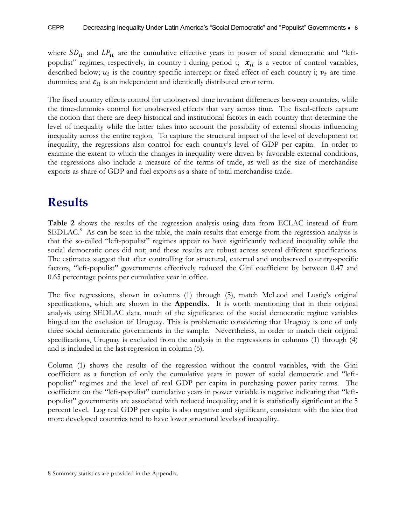where  $SD_{it}$  and  $LP_{it}$  are the cumulative effective years in power of social democratic and "leftpopulist" regimes, respectively, in country i during period t;  $x_{it}$  is a vector of control variables, described below;  $u_i$  is the country-specific intercept or fixed-effect of each country i;  $v_t$  are timedummies; and  $\varepsilon_{it}$  is an independent and identically distributed error term.

The fixed country effects control for unobserved time invariant differences between countries, while the time-dummies control for unobserved effects that vary across time. The fixed-effects capture the notion that there are deep historical and institutional factors in each country that determine the level of inequality while the latter takes into account the possibility of external shocks influencing inequality across the entire region. To capture the structural impact of the level of development on inequality, the regressions also control for each country's level of GDP per capita. In order to examine the extent to which the changes in inequality were driven by favorable external conditions, the regressions also include a measure of the terms of trade, as well as the size of merchandise exports as share of GDP and fuel exports as a share of total merchandise trade.

### <span id="page-7-0"></span>**Results**

**Table 2** shows the results of the regression analysis using data from ECLAC instead of from SEDLAC.<sup>8</sup> As can be seen in the table, the main results that emerge from the regression analysis is that the so-called "left-populist" regimes appear to have significantly reduced inequality while the social democratic ones did not; and these results are robust across several different specifications. The estimates suggest that after controlling for structural, external and unobserved country-specific factors, "left-populist" governments effectively reduced the Gini coefficient by between 0.47 and 0.65 percentage points per cumulative year in office.

The five regressions, shown in columns (1) through (5), match McLeod and Lustig's original specifications, which are shown in the **Appendix**. It is worth mentioning that in their original analysis using SEDLAC data, much of the significance of the social democratic regime variables hinged on the exclusion of Uruguay. This is problematic considering that Uruguay is one of only three social democratic governments in the sample. Nevertheless, in order to match their original specifications, Uruguay is excluded from the analysis in the regressions in columns (1) through (4) and is included in the last regression in column (5).

Column (1) shows the results of the regression without the control variables, with the Gini coefficient as a function of only the cumulative years in power of social democratic and "leftpopulist" regimes and the level of real GDP per capita in purchasing power parity terms. The coefficient on the "left-populist" cumulative years in power variable is negative indicating that "leftpopulist" governments are associated with reduced inequality; and it is statistically significant at the 5 percent level. Log real GDP per capita is also negative and significant, consistent with the idea that more developed countries tend to have lower structural levels of inequality.

 $\overline{a}$ 

<sup>8</sup> Summary statistics are provided in the Appendix.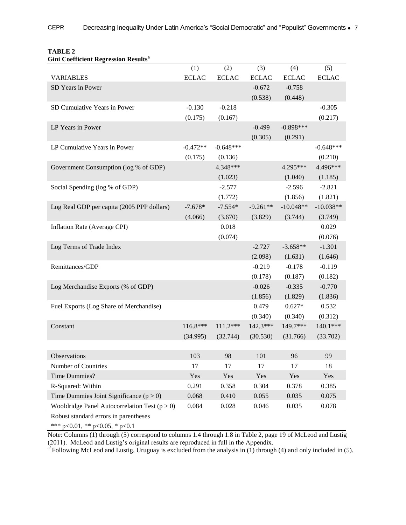| GIIII COCHICIEIII NEGLESSIOII NESUIIS           |              |              |              |              |              |
|-------------------------------------------------|--------------|--------------|--------------|--------------|--------------|
|                                                 | (1)          | (2)          | (3)          | (4)          | (5)          |
| <b>VARIABLES</b>                                | <b>ECLAC</b> | <b>ECLAC</b> | <b>ECLAC</b> | <b>ECLAC</b> | <b>ECLAC</b> |
| SD Years in Power                               |              |              | $-0.672$     | $-0.758$     |              |
|                                                 |              |              | (0.538)      | (0.448)      |              |
| SD Cumulative Years in Power                    | $-0.130$     | $-0.218$     |              |              | $-0.305$     |
|                                                 | (0.175)      | (0.167)      |              |              | (0.217)      |
| LP Years in Power                               |              |              | $-0.499$     | $-0.898***$  |              |
|                                                 |              |              | (0.305)      | (0.291)      |              |
| LP Cumulative Years in Power                    | $-0.472**$   | $-0.648***$  |              |              | $-0.648***$  |
|                                                 | (0.175)      | (0.136)      |              |              | (0.210)      |
| Government Consumption (log % of GDP)           |              | 4.348***     |              | 4.295***     | 4.496***     |
|                                                 |              | (1.023)      |              | (1.040)      | (1.185)      |
| Social Spending (log % of GDP)                  |              | $-2.577$     |              | $-2.596$     | $-2.821$     |
|                                                 |              | (1.772)      |              | (1.856)      | (1.821)      |
| Log Real GDP per capita (2005 PPP dollars)      | $-7.678*$    | $-7.554*$    | $-9.261**$   | $-10.048**$  | $-10.038**$  |
|                                                 | (4.066)      | (3.670)      | (3.829)      | (3.744)      | (3.749)      |
| Inflation Rate (Average CPI)                    |              | 0.018        |              |              | 0.029        |
|                                                 |              | (0.074)      |              |              | (0.076)      |
| Log Terms of Trade Index                        |              |              | $-2.727$     | $-3.658**$   | $-1.301$     |
|                                                 |              |              | (2.098)      | (1.631)      | (1.646)      |
| Remittances/GDP                                 |              |              | $-0.219$     | $-0.178$     | $-0.119$     |
|                                                 |              |              | (0.178)      | (0.187)      | (0.182)      |
| Log Merchandise Exports (% of GDP)              |              |              | $-0.026$     | $-0.335$     | $-0.770$     |
|                                                 |              |              | (1.856)      | (1.829)      | (1.836)      |
| Fuel Exports (Log Share of Merchandise)         |              |              | 0.479        | $0.627*$     | 0.532        |
|                                                 |              |              | (0.340)      | (0.340)      | (0.312)      |
| Constant                                        | 116.8***     | 111.2***     | 142.3***     | 149.7***     | 140.1***     |
|                                                 | (34.995)     | (32.744)     | (30.530)     | (31.766)     | (33.702)     |
|                                                 |              |              |              |              |              |
| <b>Observations</b>                             | 103          | 98           | 101          | 96           | 99           |
| Number of Countries                             | 17           | 17           | 17           | 17           | 18           |
| Time Dummies?                                   | Yes          | Yes          | Yes          | Yes          | Yes          |
| R-Squared: Within                               | 0.291        | 0.358        | 0.304        | 0.378        | 0.385        |
| Time Dummies Joint Significance $(p > 0)$       | 0.068        | 0.410        | 0.055        | 0.035        | 0.075        |
| Wooldridge Panel Autocorrelation Test $(p > 0)$ | 0.084        | 0.028        | 0.046        | 0.035        | 0.078        |
| Robust standard errors in parentheses           |              |              |              |              |              |

#### **TABLE 2 Gini Coefficient Regression Results<sup>a</sup>**

Robust standard errors in parentheses

\*\*\* p<0.01, \*\* p<0.05, \* p<0.1

Note: Columns (1) through (5) correspond to columns 1.4 through 1.8 in Table 2, page 19 of McLeod and Lustig (2011). McLeod and Lustig's original results are reproduced in full in the Appendix.

 $a^{i}$  Following McLeod and Lustig, Uruguay is excluded from the analysis in (1) through (4) and only included in (5).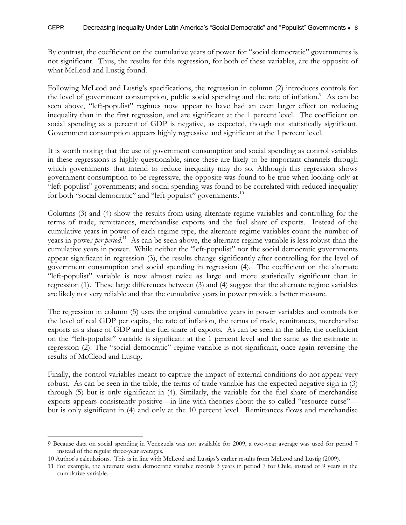By contrast, the coefficient on the cumulative years of power for "social democratic" governments is not significant. Thus, the results for this regression, for both of these variables, are the opposite of what McLeod and Lustig found.

Following McLeod and Lustig's specifications, the regression in column (2) introduces controls for the level of government consumption, public social spending and the rate of inflation.<sup>9</sup> As can be seen above, "left-populist" regimes now appear to have had an even larger effect on reducing inequality than in the first regression, and are significant at the 1 percent level. The coefficient on social spending as a percent of GDP is negative, as expected, though not statistically significant. Government consumption appears highly regressive and significant at the 1 percent level.

It is worth noting that the use of government consumption and social spending as control variables in these regressions is highly questionable, since these are likely to be important channels through which governments that intend to reduce inequality may do so. Although this regression shows government consumption to be regressive, the opposite was found to be true when looking only at "left-populist" governments; and social spending was found to be correlated with reduced inequality for both "social democratic" and "left-populist" governments.<sup>10</sup>

Columns (3) and (4) show the results from using alternate regime variables and controlling for the terms of trade, remittances, merchandise exports and the fuel share of exports. Instead of the cumulative years in power of each regime type, the alternate regime variables count the number of years in power *per period*.<sup>11</sup> As can be seen above, the alternate regime variable is less robust than the cumulative years in power. While neither the "left-populist" nor the social democratic governments appear significant in regression (3), the results change significantly after controlling for the level of government consumption and social spending in regression (4). The coefficient on the alternate "left-populist" variable is now almost twice as large and more statistically significant than in regression (1). These large differences between (3) and (4) suggest that the alternate regime variables are likely not very reliable and that the cumulative years in power provide a better measure.

The regression in column (5) uses the original cumulative years in power variables and controls for the level of real GDP per capita, the rate of inflation, the terms of trade, remittances, merchandise exports as a share of GDP and the fuel share of exports. As can be seen in the table, the coefficient on the "left-populist" variable is significant at the 1 percent level and the same as the estimate in regression (2). The "social democratic" regime variable is not significant, once again reversing the results of McCleod and Lustig.

Finally, the control variables meant to capture the impact of external conditions do not appear very robust. As can be seen in the table, the terms of trade variable has the expected negative sign in (3) through (5) but is only significant in (4). Similarly, the variable for the fuel share of merchandise exports appears consistently positive—in line with theories about the so-called "resource curse" but is only significant in (4) and only at the 10 percent level. Remittances flows and merchandise

 $\overline{a}$ 

<sup>9</sup> Because data on social spending in Venezuela was not available for 2009, a two-year average was used for period 7 instead of the regular three-year averages.

<sup>10</sup> Author's calculations. This is in line with McLeod and Lustigs's earlier results from McLeod and Lustig (2009).

<sup>11</sup> For example, the alternate social democratic variable records 3 years in period 7 for Chile, instead of 9 years in the cumulative variable.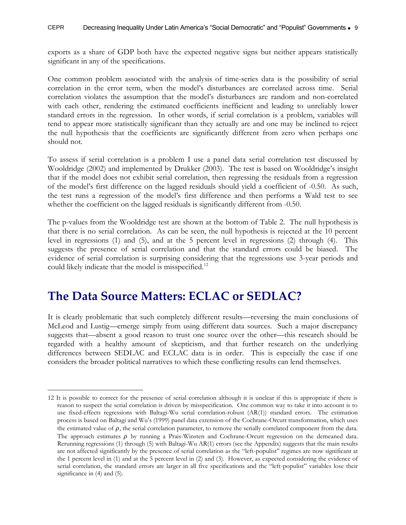exports as a share of GDP both have the expected negative signs but neither appears statistically significant in any of the specifications.

One common problem associated with the analysis of time-series data is the possibility of serial correlation in the error term, when the model's disturbances are correlated across time. Serial correlation violates the assumption that the model's disturbances are random and non-correlated with each other, rendering the estimated coefficients inefficient and leading to unreliably lower standard errors in the regression. In other words, if serial correlation is a problem, variables will tend to appear more statistically significant than they actually are and one may be inclined to reject the null hypothesis that the coefficients are significantly different from zero when perhaps one should not.

To assess if serial correlation is a problem I use a panel data serial correlation test discussed by Wooldridge (2002) and implemented by Drukker (2003). The test is based on Wooldridge's insight that if the model does not exhibit serial correlation, then regressing the residuals from a regression of the model's first difference on the lagged residuals should yield a coefficient of -0.50. As such, the test runs a regression of the model's first difference and then performs a Wald test to see whether the coefficient on the lagged residuals is significantly different from  $-0.50$ .

The p-values from the Wooldridge test are shown at the bottom of Table 2. The null hypothesis is that there is no serial correlation. As can be seen, the null hypothesis is rejected at the 10 percent level in regressions (1) and (5), and at the 5 percent level in regressions (2) through (4). This suggests the presence of serial correlation and that the standard errors could be biased. The evidence of serial correlation is surprising considering that the regressions use 3-year periods and could likely indicate that the model is misspecified.<sup>12</sup>

#### <span id="page-10-0"></span>**The Data Source Matters: ECLAC or SEDLAC?**

 $\overline{a}$ 

It is clearly problematic that such completely different results—reversing the main conclusions of McLeod and Lustig—emerge simply from using different data sources. Such a major discrepancy suggests that—absent a good reason to trust one source over the other—this research should be regarded with a healthy amount of skepticism, and that further research on the underlying differences between SEDLAC and ECLAC data is in order. This is especially the case if one considers the broader political narratives to which these conflicting results can lend themselves.

<sup>12</sup> It is possible to correct for the presence of serial correlation although it is unclear if this is appropriate if there is reason to suspect the serial correlation is driven by misspecification. One common way to take it into account is to use fixed-effects regressions with Baltagi-Wu serial correlation-robust (AR(1)) standard errors. The estimation process is based on Baltagi and Wu's (1999) panel data extension of the Cochrane-Orcutt transformation, which uses the estimated value of  $\rho$ , the serial correlation parameter, to remove the serially correlated component from the data. The approach estimates  $\rho$  by running a Prais-Winsten and Cochrane-Orcutt regression on the demeaned data. Rerunning regressions (1) through (5) with Baltagi-Wu AR(1) errors (see the Appendix) suggests that the main results are not affected significantly by the presence of serial correlation as the "left-populist" regimes are now significant at the 1 percent level in (1) and at the 5 percent level in (2) and (3). However, as expected considering the evidence of serial correlation, the standard errors are larger in all five specifications and the "left-populist" variables lose their significance in (4) and (5).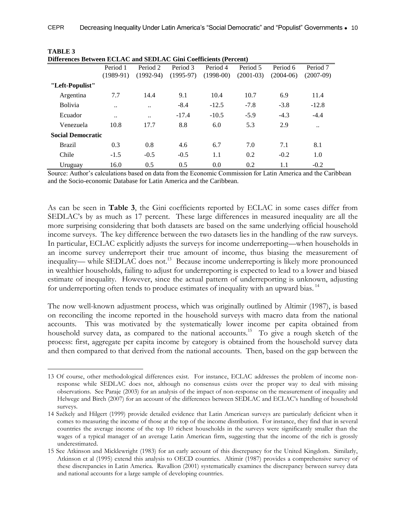| Differences Between ECLAC and SEDLAC Gini Coefficients (Percent) |                      |             |             |             |             |             |             |  |  |  |
|------------------------------------------------------------------|----------------------|-------------|-------------|-------------|-------------|-------------|-------------|--|--|--|
|                                                                  | Period 1             | Period 2    | Period 3    | Period 4    | Period 5    | Period 6    | Period 7    |  |  |  |
|                                                                  | $(1989-91)$          | $(1992-94)$ | $(1995-97)$ | $(1998-00)$ | $(2001-03)$ | $(2004-06)$ | $(2007-09)$ |  |  |  |
| "Left-Populist"                                                  |                      |             |             |             |             |             |             |  |  |  |
| Argentina                                                        | 7.7                  | 14.4        | 9.1         | 10.4        | 10.7        | 6.9         | 11.4        |  |  |  |
| <b>Bolivia</b>                                                   | $\ddot{\phantom{0}}$ |             | $-8.4$      | $-12.5$     | $-7.8$      | $-3.8$      | $-12.8$     |  |  |  |
| Ecuador                                                          | $\ddotsc$            | $\ddotsc$   | $-17.4$     | $-10.5$     | $-5.9$      | $-4.3$      | $-4.4$      |  |  |  |
| Venezuela                                                        | 10.8                 | 17.7        | 8.8         | 6.0         | 5.3         | 2.9         |             |  |  |  |
| <b>Social Democratic</b>                                         |                      |             |             |             |             |             |             |  |  |  |
| <b>Brazil</b>                                                    | 0.3                  | 0.8         | 4.6         | 6.7         | 7.0         | 7.1         | 8.1         |  |  |  |
| Chile                                                            | $-1.5$               | $-0.5$      | $-0.5$      | 1.1         | 0.2         | $-0.2$      | 1.0         |  |  |  |
| Uruguay                                                          | 16.0                 | 0.5         | 0.5         | 0.0         | 0.2         | 1.1         | $-0.2$      |  |  |  |

**TABLE 3**

Source: Author's calculations based on data from the Economic Commission for Latin America and the Caribbean and the Socio-economic Database for Latin America and the Caribbean.

As can be seen in **Table 3**, the Gini coefficients reported by ECLAC in some cases differ from SEDLAC's by as much as 17 percent. These large differences in measured inequality are all the more surprising considering that both datasets are based on the same underlying official household income surveys. The key difference between the two datasets lies in the handling of the raw surveys. In particular, ECLAC explicitly adjusts the surveys for income underreporting—when households in an income survey underreport their true amount of income, thus biasing the measurement of inequality— while SEDLAC does not.<sup>13</sup> Because income underreporting is likely more pronounced in wealthier households, failing to adjust for underreporting is expected to lead to a lower and biased estimate of inequality. However, since the actual pattern of underreporting is unknown, adjusting for underreporting often tends to produce estimates of inequality with an upward bias.<sup>14</sup>

The now well-known adjustment process, which was originally outlined by Altimir (1987), is based on reconciling the income reported in the household surveys with macro data from the national accounts. This was motivated by the systematically lower income per capita obtained from household survey data, as compared to the national accounts.<sup>15</sup> To give a rough sketch of the process: first, aggregate per capita income by category is obtained from the household survey data and then compared to that derived from the national accounts. Then, based on the gap between the

 $\overline{a}$ 

<sup>13</sup> Of course, other methodological differences exist. For instance, ECLAC addresses the problem of income nonresponse while SEDLAC does not, although no consensus exists over the proper way to deal with missing observations. See Paraje (2003) for an analysis of the impact of non-response on the measurement of inequality and Helwege and Birch (2007) for an account of the differences between SEDLAC and ECLAC's handling of household surveys.

<sup>14</sup> Székely and Hilgert (1999) provide detailed evidence that Latin American surveys are particularly deficient when it comes to measuring the income of those at the top of the income distribution. For instance, they find that in several countries the average income of the top 10 richest households in the surveys were significantly smaller than the wages of a typical manager of an average Latin American firm, suggesting that the income of the rich is grossly underestimated.

<sup>15</sup> See Atkinson and Micklewright (1983) for an early account of this discrepancy for the United Kingdom. Similarly, Atkinson et al (1995) extend this analysis to OECD countries. Altimir (1987) provides a comprehensive survey of these discrepancies in Latin America. Ravallion (2001) systematically examines the discrepancy between survey data and national accounts for a large sample of developing countries.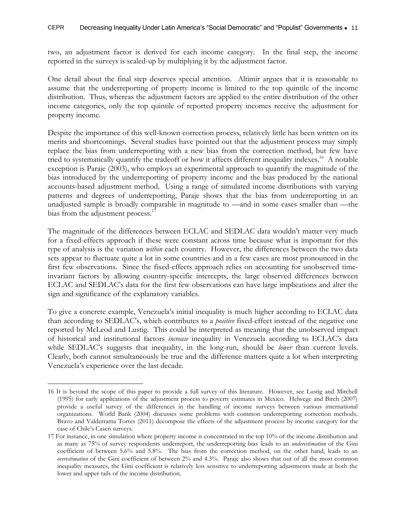two, an adjustment factor is derived for each income category. In the final step, the income reported in the surveys is scaled-up by multiplying it by the adjustment factor.

One detail about the final step deserves special attention. Altimir argues that it is reasonable to assume that the underreporting of property income is limited to the top quintile of the income distribution. Thus, whereas the adjustment factors are applied to the entire distribution of the other income categories, only the top quintile of reported property incomes receive the adjustment for property income.

Despite the importance of this well-known correction process, relatively little has been written on its merits and shortcomings. Several studies have pointed out that the adjustment process may simply replace the bias from underreporting with a new bias from the correction method, but few have tried to systematically quantify the tradeoff or how it affects different inequality indexes.<sup>16</sup> A notable exception is Paraje (2003), who employs an experimental approach to quantify the magnitude of the bias introduced by the underreporting of property income and the bias produced by the national accounts-based adjustment method. Using a range of simulated income distributions with varying patterns and degrees of underreporting, Paraje shows that the bias from underreporting in an unadjusted sample is broadly comparable in magnitude to —and in some cases smaller than —the bias from the adjustment process.<sup>17</sup>

The magnitude of the differences between ECLAC and SEDLAC data wouldn't matter very much for a fixed-effects approach if these were constant across time because what is important for this type of analysis is the variation *within* each country. However, the differences between the two data sets appear to fluctuate quite a lot in some countries and in a few cases are most pronounced in the first few observations. Since the fixed-effects approach relies on accounting for unobserved timeinvariant factors by allowing country-specific intercepts, the large observed differences between ECLAC and SEDLAC's data for the first few observations can have large implications and alter the sign and significance of the explanatory variables.

To give a concrete example, Venezuela's initial inequality is much higher according to ECLAC data than according to SEDLAC's, which contributes to a *positive* fixed-effect instead of the negative one reported by McLeod and Lustig. This could be interpreted as meaning that the unobserved impact of historical and institutional factors *increase* inequality in Venezuela according to ECLAC's data while SEDLAC's suggests that inequality, in the long-run, should be *lower* than current levels. Clearly, both cannot simultaneously be true and the difference matters quite a lot when interpreting Venezuela's experience over the last decade.

 $\overline{a}$ 16 It is beyond the scope of this paper to provide a full survey of this literature. However, see Lustig and Mitchell (1995) for early applications of the adjustment process to poverty estimates in Mexico. Helwege and Birch (2007) provide a useful survey of the differences in the handling of income surveys between various international organizations. World Bank (2004) discusses some problems with common underreporting correction methods. Bravo and Valderrama Torres (2011) decompose the effects of the adjustment process by income category for the case of Chile's Casen surveys.

<sup>17</sup> For instance, in one simulation where property income is concentrated in the top 10% of the income distribution and as many as 75% of survey respondents underreport, the underreporting bias leads to an *underestimation* of the Gini coefficient of between 5.6% and 5.8%. The bias from the correction method, on the other hand, leads to an *overestimation* of the Gini coefficient of between 2% and 4.3%. Paraje also shows that out of all the most common inequality measures, the Gini coefficient is relatively less sensitive to underreporting adjustments made at both the lower and upper tails of the income distribution.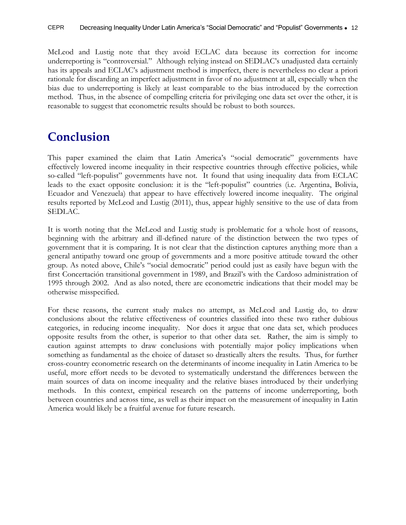McLeod and Lustig note that they avoid ECLAC data because its correction for income underreporting is "controversial." Although relying instead on SEDLAC's unadjusted data certainly has its appeals and ECLAC's adjustment method is imperfect, there is nevertheless no clear a priori rationale for discarding an imperfect adjustment in favor of no adjustment at all, especially when the bias due to underreporting is likely at least comparable to the bias introduced by the correction method. Thus, in the absence of compelling criteria for privileging one data set over the other, it is reasonable to suggest that econometric results should be robust to both sources.

### <span id="page-13-0"></span>**Conclusion**

This paper examined the claim that Latin America's "social democratic" governments have effectively lowered income inequality in their respective countries through effective policies, while so-called "left-populist" governments have not. It found that using inequality data from ECLAC leads to the exact opposite conclusion: it is the "left-populist" countries (i.e. Argentina, Bolivia, Ecuador and Venezuela) that appear to have effectively lowered income inequality. The original results reported by McLeod and Lustig (2011), thus, appear highly sensitive to the use of data from SEDLAC.

It is worth noting that the McLeod and Lustig study is problematic for a whole host of reasons, beginning with the arbitrary and ill-defined nature of the distinction between the two types of government that it is comparing. It is not clear that the distinction captures anything more than a general antipathy toward one group of governments and a more positive attitude toward the other group. As noted above, Chile's "social democratic" period could just as easily have begun with the first Concertación transitional government in 1989, and Brazil's with the Cardoso administration of 1995 through 2002. And as also noted, there are econometric indications that their model may be otherwise misspecified.

For these reasons, the current study makes no attempt, as McLeod and Lustig do, to draw conclusions about the relative effectiveness of countries classified into these two rather dubious categories, in reducing income inequality. Nor does it argue that one data set, which produces opposite results from the other, is superior to that other data set. Rather, the aim is simply to caution against attempts to draw conclusions with potentially major policy implications when something as fundamental as the choice of dataset so drastically alters the results. Thus, for further cross-country econometric research on the determinants of income inequality in Latin America to be useful, more effort needs to be devoted to systematically understand the differences between the main sources of data on income inequality and the relative biases introduced by their underlying methods. In this context, empirical research on the patterns of income underreporting, both between countries and across time, as well as their impact on the measurement of inequality in Latin America would likely be a fruitful avenue for future research.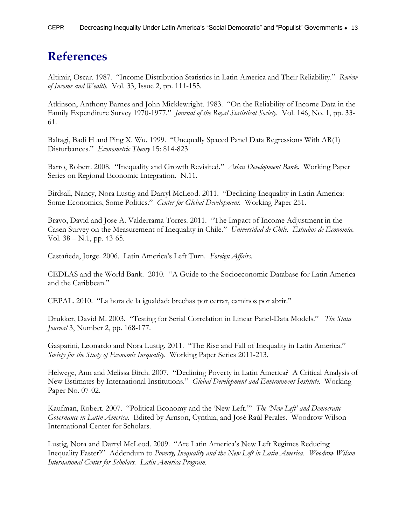### <span id="page-14-0"></span>**References**

Altimir, Oscar. 1987. "Income Distribution Statistics in Latin America and Their Reliability." *Review of Income and Wealth.* Vol. 33, Issue 2, pp. 111-155.

Atkinson, Anthony Barnes and John Micklewright. 1983. "On the Reliability of Income Data in the Family Expenditure Survey 1970-1977." *Journal of the Royal Statistical Society.* Vol. 146, No. 1, pp. 33- 61.

Baltagi, Badi H and Ping X. Wu. 1999. "Unequally Spaced Panel Data Regressions With AR(1) Disturbances." *Econometric Theory* 15: 814-823

Barro, Robert. 2008. "Inequality and Growth Revisited." *Asian Development Bank.* Working Paper Series on Regional Economic Integration. N.11.

Birdsall, Nancy, Nora Lustig and Darryl McLeod. 2011. "Declining Inequality in Latin America: Some Economics, Some Politics." *Center for Global Development.* Working Paper 251.

Bravo, David and Jose A. Valderrama Torres. 2011. "The Impact of Income Adjustment in the Casen Survey on the Measurement of Inequality in Chile." *Universidad de Chile. Estudios de Economía.*  Vol. 38 – N.1, pp. 43-65.

Castañeda, Jorge. 2006. Latin America's Left Turn. *Foreign Affairs.*

CEDLAS and the World Bank. 2010. "A Guide to the Socioeconomic Database for Latin America and the Caribbean."

CEPAL. 2010. "La hora de la igualdad: brechas por cerrar, caminos por abrir."

Drukker, David M. 2003. "Testing for Serial Correlation in Linear Panel-Data Models." *The Stata Journal* 3, Number 2, pp. 168-177.

Gasparini, Leonardo and Nora Lustig. 2011. "The Rise and Fall of Inequality in Latin America." *Society for the Study of Economic Inequality.* Working Paper Series 2011-213.

Helwege, Ann and Melissa Birch. 2007. "Declining Poverty in Latin America? A Critical Analysis of New Estimates by International Institutions." *Global Development and Environment Institute.* Working Paper No. 07-02.

Kaufman, Robert. 2007. "Political Economy and the 'New Left.'" *The 'New Left' and Democratic Governance in Latin America.* Edited by Arnson, Cynthia, and José Raúl Perales. Woodrow Wilson International Center for Scholars.

Lustig, Nora and Darryl McLeod. 2009. "Are Latin America's New Left Regimes Reducing Inequality Faster?" Addendum to *Poverty, Inequality and the New Left in Latin America*. *Woodrow Wilson International Center for Scholars. Latin America Program.*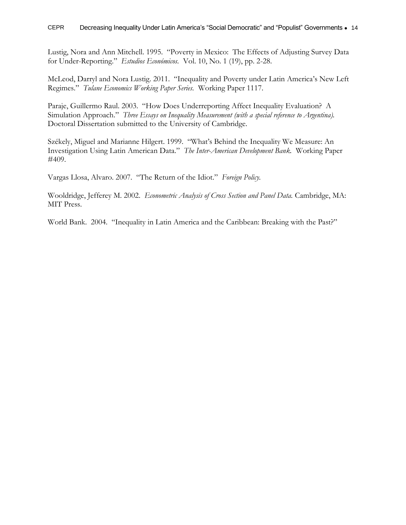Lustig, Nora and Ann Mitchell. 1995. "Poverty in Mexico: The Effects of Adjusting Survey Data for Under-Reporting." *Estudios Económicos.* Vol. 10, No. 1 (19), pp. 2-28.

McLeod, Darryl and Nora Lustig. 2011. "Inequality and Poverty under Latin America's New Left Regimes." *Tulane Economics Working Paper Series.* Working Paper 1117.

Paraje, Guillermo Raul. 2003. "How Does Underreporting Affect Inequality Evaluation? A Simulation Approach." *Three Essays on Inequality Measurement (with a special reference to Argentina).*  Doctoral Dissertation submitted to the University of Cambridge.

Székely, Miguel and Marianne Hilgert. 1999. "What's Behind the Inequality We Measure: An Investigation Using Latin American Data." *The Inter-American Development Bank.* Working Paper #409.

Vargas Llosa, Alvaro. 2007. "The Return of the Idiot." *Foreign Policy.* 

Wooldridge, Jefferey M. 2002. *Econometric Analysis of Cross Section and Panel Data.* Cambridge, MA: MIT Press.

World Bank. 2004. "Inequality in Latin America and the Caribbean: Breaking with the Past?"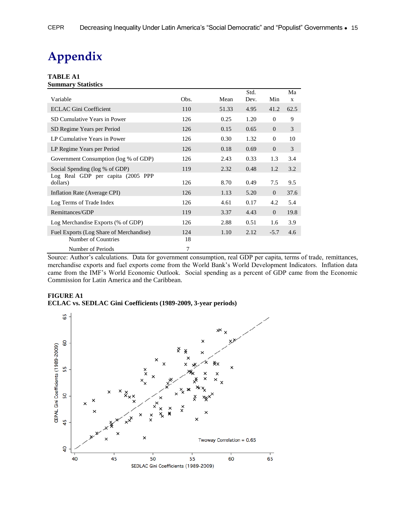## <span id="page-16-0"></span>**Appendix**

#### **TABLE A1 Summary Statistics**

| Variable                                                       | Obs.      | Mean  | Std.<br>Dev. | Min      | Ma<br>X |
|----------------------------------------------------------------|-----------|-------|--------------|----------|---------|
| <b>ECLAC Gini Coefficient</b>                                  | 110       | 51.33 | 4.95         | 41.2     | 62.5    |
| SD Cumulative Years in Power                                   | 126       | 0.25  | 1.20         | $\Omega$ | 9       |
| SD Regime Years per Period                                     | 126       | 0.15  | 0.65         | $\Omega$ | 3       |
| LP Cumulative Years in Power                                   | 126       | 0.30  | 1.32         | $\theta$ | 10      |
| LP Regime Years per Period                                     | 126       | 0.18  | 0.69         | $\theta$ | 3       |
| Government Consumption (log % of GDP)                          | 126       | 2.43  | 0.33         | 1.3      | 3.4     |
| Social Spending (log % of GDP)                                 | 119       | 2.32  | 0.48         | 1.2      | 3.2     |
| Log Real GDP per capita (2005 PPP)<br>dollars)                 | 126       | 8.70  | 0.49         | 7.5      | 9.5     |
| Inflation Rate (Average CPI)                                   | 126       | 1.13  | 5.20         | $\theta$ | 37.6    |
| Log Terms of Trade Index                                       | 126       | 4.61  | 0.17         | 4.2      | 5.4     |
| Remittances/GDP                                                | 119       | 3.37  | 4.43         | $\Omega$ | 19.8    |
| Log Merchandise Exports (% of GDP)                             | 126       | 2.88  | 0.51         | 1.6      | 3.9     |
| Fuel Exports (Log Share of Merchandise)<br>Number of Countries | 124<br>18 | 1.10  | 2.12         | $-5.7$   | 4.6     |
| Number of Periods                                              | 7         |       |              |          |         |

Source: Author's calculations. Data for government consumption, real GDP per capita, terms of trade, remittances, merchandise exports and fuel exports come from the World Bank's World Development Indicators. Inflation data came from the IMF's World Economic Outlook. Social spending as a percent of GDP came from the Economic Commission for Latin America and the Caribbean.

#### **FIGURE A1 ECLAC vs. SEDLAC Gini Coefficients (1989-2009, 3-year periods)**

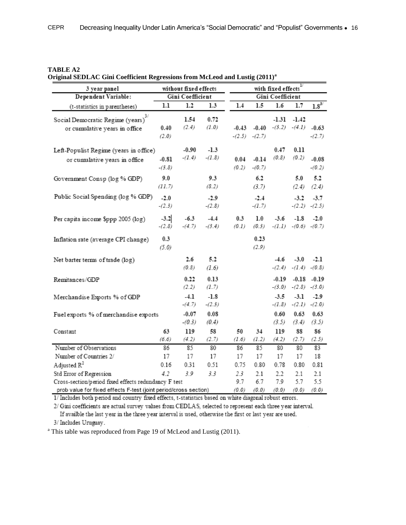| TABLE A2 |  |
|----------|--|
|----------|--|

| 3 year panel                                                                                                              | without fixed effects |                                      |                    |               | with fixed effects                 |                    |                              |                                     |  |
|---------------------------------------------------------------------------------------------------------------------------|-----------------------|--------------------------------------|--------------------|---------------|------------------------------------|--------------------|------------------------------|-------------------------------------|--|
| Dependent Variable:                                                                                                       |                       | Gini Coefficient<br>Gini Coefficient |                    |               |                                    |                    |                              |                                     |  |
| (t-statistics in parentheses)                                                                                             | 1.1                   | 1.2                                  | 1.3                | 1.4           | $1.5\,$                            | 1.6                | 1.7                          | $1.8^{\scriptscriptstyle 3/}$       |  |
| 3/<br>Social Democratic Regime (years)<br>or cumulative years in office                                                   | 0.40<br>(2.0)         | 1.54<br>(2.4)                        | 0.72<br>(1.0)      |               | $-0.43 -0.40$<br>$-(2.5)$ $-(2.7)$ | -1.31              | $-1.42$<br>$-(3.2)$ $-(4.1)$ | $-0.63$<br>$-(2.7)$                 |  |
| Left-Populist Regime (years in office)<br>or cumulative years in office                                                   | $-0.81$<br>$-(3.8)$   | $-0.90$<br>$-(1.4)$                  | $-1.3$<br>$-(1.8)$ | 0.04<br>(0.2) | $-0.14$<br>$-(0.7)$                | 0.47<br>(0.8)      | 0.11<br>(0.2)                | $-0.08$<br>$-(0.2)$                 |  |
| Government Consp (log % GDP)                                                                                              | 9.0<br>(11.7)         |                                      | 9.3<br>(8.2)       |               | 6.2<br>(3.7)                       |                    | 5.0<br>(2.4)                 | 5.2<br>(2.4)                        |  |
| Public Social Spending (log % GDP)                                                                                        | $-2.0$<br>$-(2.3)$    |                                      | $-2.9$<br>$-(2.8)$ |               | $-2.4$<br>$-(1.7)$                 |                    | $-3.2$                       | $-3.7$<br>$-(2.2)$ $-(2.5)$         |  |
| Per capita income \$ppp 2005 (log)                                                                                        | $-3.2$<br>$-(2.8)$    | $-6.3$<br>$-(4.7)$                   | $-4.4$<br>$-(3.4)$ | 0.3<br>(0.1)  | $1.0\,$<br>(0.3)                   | $-3.6$<br>$-(1.1)$ | -1.8                         | $-2.0$<br>$-(0.6)$ $-(0.7)$         |  |
| Inflation rate (average CPI change)                                                                                       | 0.3<br>(5.0)          |                                      |                    |               | 0.23<br>(2.9)                      |                    |                              |                                     |  |
| Net barter terms of trade (log)                                                                                           |                       | 2.6<br>(0.8)                         | 5.2<br>(1.6)       |               |                                    | -4.6<br>$-(2.4)$   | $-3.0$<br>$-(1.4)$           | $-2.1$<br>$-(0.8)$                  |  |
| Remitances/GDP                                                                                                            |                       | 0.22<br>(2.2)                        | 0.13<br>(1.7)      |               |                                    | -0.19<br>$-(3.0)$  |                              | $-0.18 - 0.19$<br>$-(2.8)$ $-(3.0)$ |  |
| Merchandise Exports % of GDP                                                                                              |                       | $-4.1$<br>$-(4.7)$                   | $-1.8$<br>$-(2.3)$ |               |                                    | $-3.5$<br>$-(1.8)$ | $-3.1$<br>$-(2.1)$           | $-2.9$<br>$-(2.0)$                  |  |
| Fuel exports % of merchandise exports                                                                                     |                       | $-0.07$<br>$-(0.3)$                  | 0.08<br>(0.4)      |               |                                    | 0.60<br>(3.5)      | 0.63<br>(3.4)                | 0.63<br>(3.5)                       |  |
| Constant                                                                                                                  | 63<br>(6.6)           | 119<br>(4.2)                         | 58<br>(2.7)        | 50<br>(1.6)   | 34<br>(1.2)                        | 119<br>(4.2)       | 88<br>(2.7)                  | 86<br>(2.5)                         |  |
| Number of Observations                                                                                                    | 86                    | 85                                   | 80                 | 86            | 85                                 | 80                 | 80                           | 83                                  |  |
| Number of Countries 2/                                                                                                    | 17                    | 17                                   | 17                 | 17            | 17                                 | 17                 | 17                           | 18                                  |  |
| Adjusted $\mathbb{R}^2$                                                                                                   | 0.16                  | 0.31                                 | 0.51               | 0.75          | 0.80                               | 0.78               | 0.80                         | 0.81                                |  |
| Std Error of Regression                                                                                                   | 4.2                   | 3.9                                  | 3.3                | 2.3           | 2.1                                | 2.2                | 2.1                          | 2.1                                 |  |
| Cross-section/period fixed effects redundancy F test<br>prob value for fixed effects F-test (joint period/cross section). |                       |                                      |                    | 9.7<br>70.O)  | 6.7<br>(0,0)                       | 7.9<br>(0,0)       | 5.7<br>(0,0)                 | 5.5<br>70 O)                        |  |

**Original SEDLAC Gini Coefficient Regressions from McLeod and Lustig (2011)<sup>a</sup>**

1/ Includes both period and country fixed effects, t-statistics based on white diagonal robust errors.

2/ Gini coefficients are actual survey values from CEDLAS, selected to represent each three year interval. If availble the last year in the three year interval is used, otherwise the first or last year are used.

3/ Includes Uruguay.

<sup>a</sup> This table was reproduced from Page 19 of McLeod and Lustig (2011).